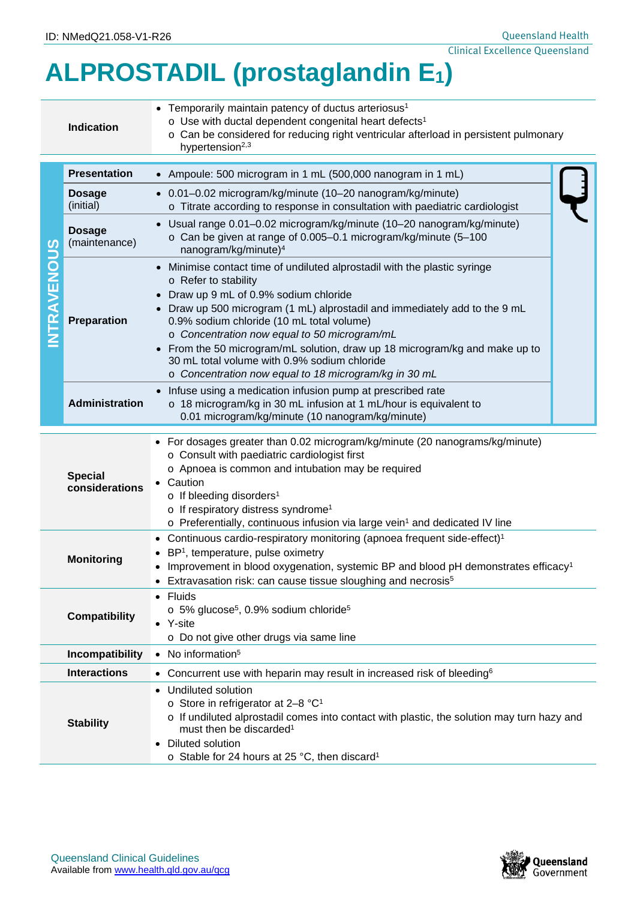## **ALPROSTADIL (prostaglandin E1)**

| <b>Indication</b>                                |                                                                                                            | • Temporarily maintain patency of ductus arteriosus <sup>1</sup><br>o Use with ductal dependent congenital heart defects <sup>1</sup><br>o Can be considered for reducing right ventricular afterload in persistent pulmonary<br>hypertension <sup>2,3</sup>                                                                                                                                                                                                                                                        |  |  |  |  |  |
|--------------------------------------------------|------------------------------------------------------------------------------------------------------------|---------------------------------------------------------------------------------------------------------------------------------------------------------------------------------------------------------------------------------------------------------------------------------------------------------------------------------------------------------------------------------------------------------------------------------------------------------------------------------------------------------------------|--|--|--|--|--|
|                                                  | <b>Presentation</b>                                                                                        | • Ampoule: 500 microgram in 1 mL (500,000 nanogram in 1 mL)                                                                                                                                                                                                                                                                                                                                                                                                                                                         |  |  |  |  |  |
| TRAVENOUS                                        | <b>Dosage</b><br>(initial)                                                                                 | • 0.01-0.02 microgram/kg/minute (10-20 nanogram/kg/minute)<br>o Titrate according to response in consultation with paediatric cardiologist                                                                                                                                                                                                                                                                                                                                                                          |  |  |  |  |  |
|                                                  | <b>Dosage</b><br>(maintenance)                                                                             | Usual range 0.01-0.02 microgram/kg/minute (10-20 nanogram/kg/minute)<br>o Can be given at range of 0.005-0.1 microgram/kg/minute (5-100<br>nanogram/kg/minute) <sup>4</sup>                                                                                                                                                                                                                                                                                                                                         |  |  |  |  |  |
|                                                  | <b>Preparation</b>                                                                                         | Minimise contact time of undiluted alprostadil with the plastic syringe<br>o Refer to stability<br>Draw up 9 mL of 0.9% sodium chloride<br>Draw up 500 microgram (1 mL) alprostadil and immediately add to the 9 mL<br>0.9% sodium chloride (10 mL total volume)<br>o Concentration now equal to 50 microgram/mL<br>From the 50 microgram/mL solution, draw up 18 microgram/kg and make up to<br>$\bullet$<br>30 mL total volume with 0.9% sodium chloride<br>o Concentration now equal to 18 microgram/kg in 30 mL |  |  |  |  |  |
|                                                  | <b>Administration</b>                                                                                      | Infuse using a medication infusion pump at prescribed rate<br>o 18 microgram/kg in 30 mL infusion at 1 mL/hour is equivalent to<br>0.01 microgram/kg/minute (10 nanogram/kg/minute)                                                                                                                                                                                                                                                                                                                                 |  |  |  |  |  |
|                                                  | <b>Special</b><br>considerations                                                                           | For dosages greater than 0.02 microgram/kg/minute (20 nanograms/kg/minute)<br>o Consult with paediatric cardiologist first<br>o Apnoea is common and intubation may be required<br>Caution<br>$\circ$ If bleeding disorders <sup>1</sup><br>o If respiratory distress syndrome <sup>1</sup><br>o Preferentially, continuous infusion via large vein <sup>1</sup> and dedicated IV line                                                                                                                              |  |  |  |  |  |
| <b>Monitoring</b>                                |                                                                                                            | Continuous cardio-respiratory monitoring (apnoea frequent side-effect) <sup>1</sup><br>BP <sup>1</sup> , temperature, pulse oximetry<br>Improvement in blood oxygenation, systemic BP and blood pH demonstrates efficacy <sup>1</sup><br>Extravasation risk: can cause tissue sloughing and necrosis <sup>5</sup>                                                                                                                                                                                                   |  |  |  |  |  |
| <b>Compatibility</b>                             |                                                                                                            | • Fluids<br>$\circ$ 5% glucose <sup>5</sup> , 0.9% sodium chloride <sup>5</sup><br>• Y-site<br>o Do not give other drugs via same line                                                                                                                                                                                                                                                                                                                                                                              |  |  |  |  |  |
| Incompatibility<br>• No information <sup>5</sup> |                                                                                                            |                                                                                                                                                                                                                                                                                                                                                                                                                                                                                                                     |  |  |  |  |  |
|                                                  | <b>Interactions</b><br>• Concurrent use with heparin may result in increased risk of bleeding <sup>6</sup> |                                                                                                                                                                                                                                                                                                                                                                                                                                                                                                                     |  |  |  |  |  |
| <b>Stability</b>                                 |                                                                                                            | Undiluted solution<br>$\bullet$<br>o Store in refrigerator at 2-8 °C <sup>1</sup><br>o If undiluted alprostadil comes into contact with plastic, the solution may turn hazy and<br>must then be discarded <sup>1</sup><br>Diluted solution<br>o Stable for 24 hours at 25 °C, then discard <sup>1</sup>                                                                                                                                                                                                             |  |  |  |  |  |